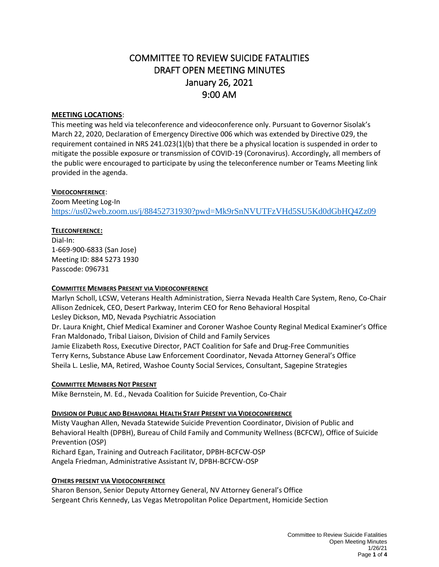# COMMITTEE TO REVIEW SUICIDE FATALITIES DRAFT OPEN MEETING MINUTES January 26, 2021 9:00 AM

## **MEETING LOCATIONS**:

This meeting was held via teleconference and videoconference only. Pursuant to Governor Sisolak's March 22, 2020, Declaration of Emergency Directive 006 which was extended by Directive 029, the requirement contained in NRS 241.023(1)(b) that there be a physical location is suspended in order to mitigate the possible exposure or transmission of COVID-19 (Coronavirus). Accordingly, all members of the public were encouraged to participate by using the teleconference number or Teams Meeting link provided in the agenda.

# **VIDEOCONFERENCE**:

Zoom Meeting Log-In <https://us02web.zoom.us/j/88452731930?pwd=Mk9rSnNVUTFzVHd5SU5Kd0dGbHQ4Zz09>

# **TELECONFERENCE:**

Dial-In: 1-669-900-6833 (San Jose) Meeting ID: 884 5273 1930 Passcode: 096731

## **COMMITTEE MEMBERS PRESENT VIA VIDEOCONFERENCE**

Marlyn Scholl, LCSW, Veterans Health Administration, Sierra Nevada Health Care System, Reno, Co-Chair Allison Zednicek, CEO, Desert Parkway, Interim CEO for Reno Behavioral Hospital Lesley Dickson, MD, Nevada Psychiatric Association Dr. Laura Knight, Chief Medical Examiner and Coroner Washoe County Reginal Medical Examiner's Office Fran Maldonado, Tribal Liaison, Division of Child and Family Services Jamie Elizabeth Ross, Executive Director, PACT Coalition for Safe and Drug-Free Communities Terry Kerns, Substance Abuse Law Enforcement Coordinator, Nevada Attorney General's Office Sheila L. Leslie, MA, Retired, Washoe County Social Services, Consultant, Sagepine Strategies

## **COMMITTEE MEMBERS NOT PRESENT**

Mike Bernstein, M. Ed., Nevada Coalition for Suicide Prevention, Co-Chair

## **DIVISION OF PUBLIC AND BEHAVIORAL HEALTH STAFF PRESENT VIA VIDEOCONFERENCE**

Misty Vaughan Allen, Nevada Statewide Suicide Prevention Coordinator, Division of Public and Behavioral Health (DPBH), Bureau of Child Family and Community Wellness (BCFCW), Office of Suicide Prevention (OSP) Richard Egan, Training and Outreach Facilitator, DPBH-BCFCW-OSP Angela Friedman, Administrative Assistant IV, DPBH-BCFCW-OSP

## **OTHERS PRESENT VIA VIDEOCONFERENCE**

Sharon Benson, Senior Deputy Attorney General, NV Attorney General's Office Sergeant Chris Kennedy, Las Vegas Metropolitan Police Department, Homicide Section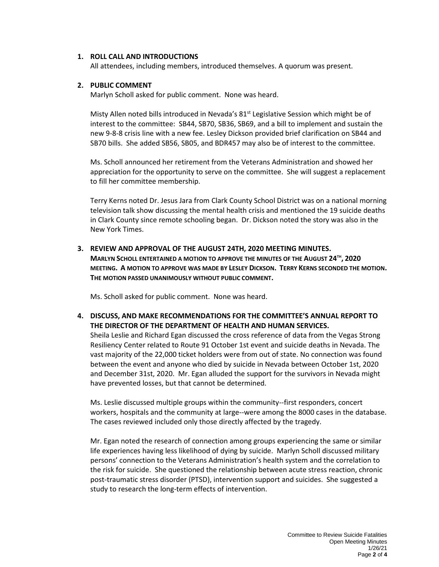#### **1. ROLL CALL AND INTRODUCTIONS**

All attendees, including members, introduced themselves. A quorum was present.

#### **2. PUBLIC COMMENT**

Marlyn Scholl asked for public comment. None was heard.

Misty Allen noted bills introduced in Nevada's 81<sup>st</sup> Legislative Session which might be of interest to the committee: SB44, SB70, SB36, SB69, and a bill to implement and sustain the new 9-8-8 crisis line with a new fee. Lesley Dickson provided brief clarification on SB44 and SB70 bills. She added SB56, SB05, and BDR457 may also be of interest to the committee.

Ms. Scholl announced her retirement from the Veterans Administration and showed her appreciation for the opportunity to serve on the committee. She will suggest a replacement to fill her committee membership.

Terry Kerns noted Dr. Jesus Jara from Clark County School District was on a national morning television talk show discussing the mental health crisis and mentioned the 19 suicide deaths in Clark County since remote schooling began. Dr. Dickson noted the story was also in the New York Times.

#### **3. REVIEW AND APPROVAL OF THE AUGUST 24TH, 2020 MEETING MINUTES.**

**MARLYN SCHOLL ENTERTAINED A MOTION TO APPROVE THE MINUTES OF THE AUGUST 24TH , 2020 MEETING. A MOTION TO APPROVE WAS MADE BY LESLEY DICKSON. TERRY KERNS SECONDED THE MOTION. THE MOTION PASSED UNANIMOUSLY WITHOUT PUBLIC COMMENT.**

Ms. Scholl asked for public comment. None was heard.

**4. DISCUSS, AND MAKE RECOMMENDATIONS FOR THE COMMITTEE'S ANNUAL REPORT TO THE DIRECTOR OF THE DEPARTMENT OF HEALTH AND HUMAN SERVICES.** 

Sheila Leslie and Richard Egan discussed the cross reference of data from the Vegas Strong Resiliency Center related to Route 91 October 1st event and suicide deaths in Nevada. The vast majority of the 22,000 ticket holders were from out of state. No connection was found between the event and anyone who died by suicide in Nevada between October 1st, 2020 and December 31st, 2020. Mr. Egan alluded the support for the survivors in Nevada might have prevented losses, but that cannot be determined.

Ms. Leslie discussed multiple groups within the community--first responders, concert workers, hospitals and the community at large--were among the 8000 cases in the database. The cases reviewed included only those directly affected by the tragedy.

Mr. Egan noted the research of connection among groups experiencing the same or similar life experiences having less likelihood of dying by suicide. Marlyn Scholl discussed military persons' connection to the Veterans Administration's health system and the correlation to the risk for suicide. She questioned the relationship between acute stress reaction, chronic post-traumatic stress disorder (PTSD), intervention support and suicides. She suggested a study to research the long-term effects of intervention.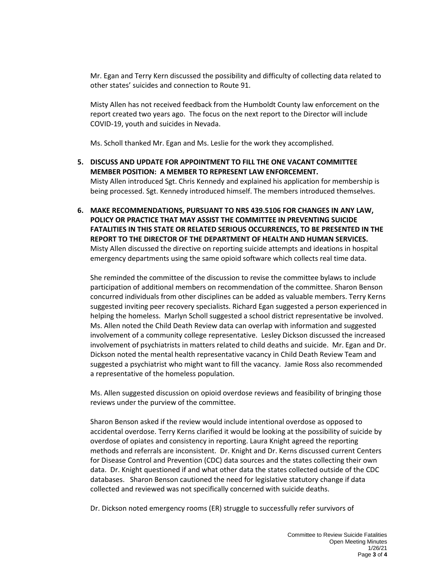Mr. Egan and Terry Kern discussed the possibility and difficulty of collecting data related to other states' suicides and connection to Route 91.

Misty Allen has not received feedback from the Humboldt County law enforcement on the report created two years ago. The focus on the next report to the Director will include COVID-19, youth and suicides in Nevada.

Ms. Scholl thanked Mr. Egan and Ms. Leslie for the work they accomplished.

- **5. DISCUSS AND UPDATE FOR APPOINTMENT TO FILL THE ONE VACANT COMMITTEE MEMBER POSITION: A MEMBER TO REPRESENT LAW ENFORCEMENT.**  Misty Allen introduced Sgt. Chris Kennedy and explained his application for membership is being processed. Sgt. Kennedy introduced himself. The members introduced themselves.
- **6. MAKE RECOMMENDATIONS, PURSUANT TO NRS 439.5106 FOR CHANGES IN ANY LAW, POLICY OR PRACTICE THAT MAY ASSIST THE COMMITTEE IN PREVENTING SUICIDE FATALITIES IN THIS STATE OR RELATED SERIOUS OCCURRENCES, TO BE PRESENTED IN THE REPORT TO THE DIRECTOR OF THE DEPARTMENT OF HEALTH AND HUMAN SERVICES.** Misty Allen discussed the directive on reporting suicide attempts and ideations in hospital emergency departments using the same opioid software which collects real time data.

She reminded the committee of the discussion to revise the committee bylaws to include participation of additional members on recommendation of the committee. Sharon Benson concurred individuals from other disciplines can be added as valuable members. Terry Kerns suggested inviting peer recovery specialists. Richard Egan suggested a person experienced in helping the homeless. Marlyn Scholl suggested a school district representative be involved. Ms. Allen noted the Child Death Review data can overlap with information and suggested involvement of a community college representative. Lesley Dickson discussed the increased involvement of psychiatrists in matters related to child deaths and suicide. Mr. Egan and Dr. Dickson noted the mental health representative vacancy in Child Death Review Team and suggested a psychiatrist who might want to fill the vacancy. Jamie Ross also recommended a representative of the homeless population.

Ms. Allen suggested discussion on opioid overdose reviews and feasibility of bringing those reviews under the purview of the committee.

Sharon Benson asked if the review would include intentional overdose as opposed to accidental overdose. Terry Kerns clarified it would be looking at the possibility of suicide by overdose of opiates and consistency in reporting. Laura Knight agreed the reporting methods and referrals are inconsistent. Dr. Knight and Dr. Kerns discussed current Centers for Disease Control and Prevention (CDC) data sources and the states collecting their own data. Dr. Knight questioned if and what other data the states collected outside of the CDC databases. Sharon Benson cautioned the need for legislative statutory change if data collected and reviewed was not specifically concerned with suicide deaths.

Dr. Dickson noted emergency rooms (ER) struggle to successfully refer survivors of